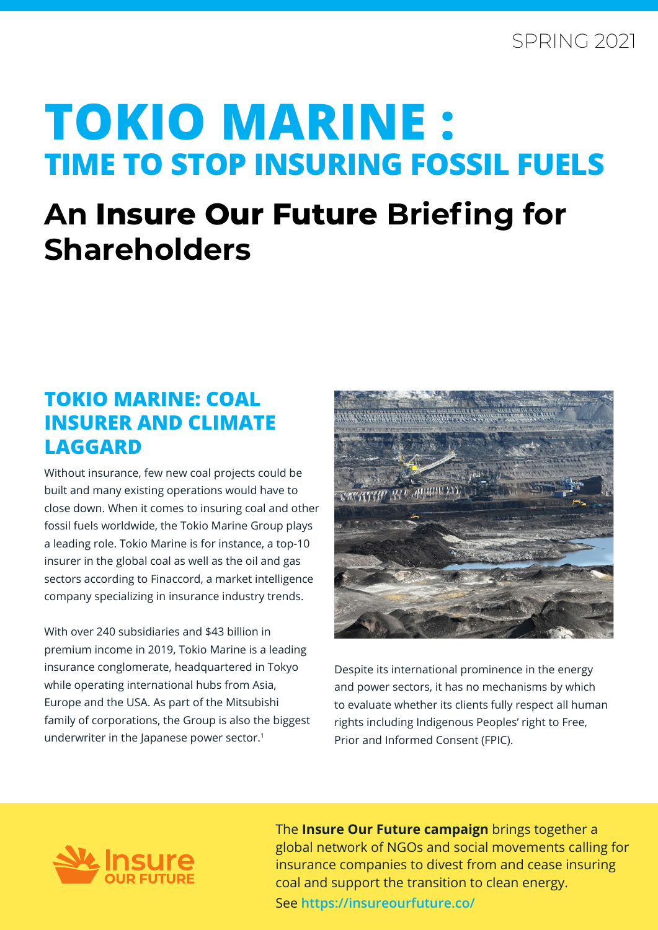# **TOKIO MARINE : TIME TO STOP INSURING FOSSIL FUELS**

## **An Insure Our Future Briefing for Shareholders**

#### **TOKIO MARINE: COAL INSURER AND CLIMATE LAGGARD**

Without insurance, few new coal projects could be built and many existing operations would have to close down. When it comes to insuring coal and other fossil fuels worldwide, the Tokio Marine Group plays a leading role. Tokio Marine is for instance, a top-10 insurer in the global coal as well as the oil and gas sectors according to Finaccord, a market intelligence company specializing in insurance industry trends.

With over 240 subsidiaries and \$43 billion in premium income in 2019, Tokio Marine is a leading insurance conglomerate, headquartered in Tokyo while operating international hubs from Asia, Europe and the USA. As part of the Mitsubishi family of corporations, the Group is also the biggest underwriter in the Japanese power sector.<sup>1</sup>



Despite its international prominence in the energy and power sectors, it has no mechanisms by which to evaluate whether its clients fully respect all human rights including Indigenous Peoples' right to Free, Prior and Informed Consent (FPIC).



The **Insure Our Future campaign** brings together a global network of NGOs and social movements calling for insurance companies to divest from and cease insuring coal and support the transition to clean energy.

See **https://insureourfuture.co/**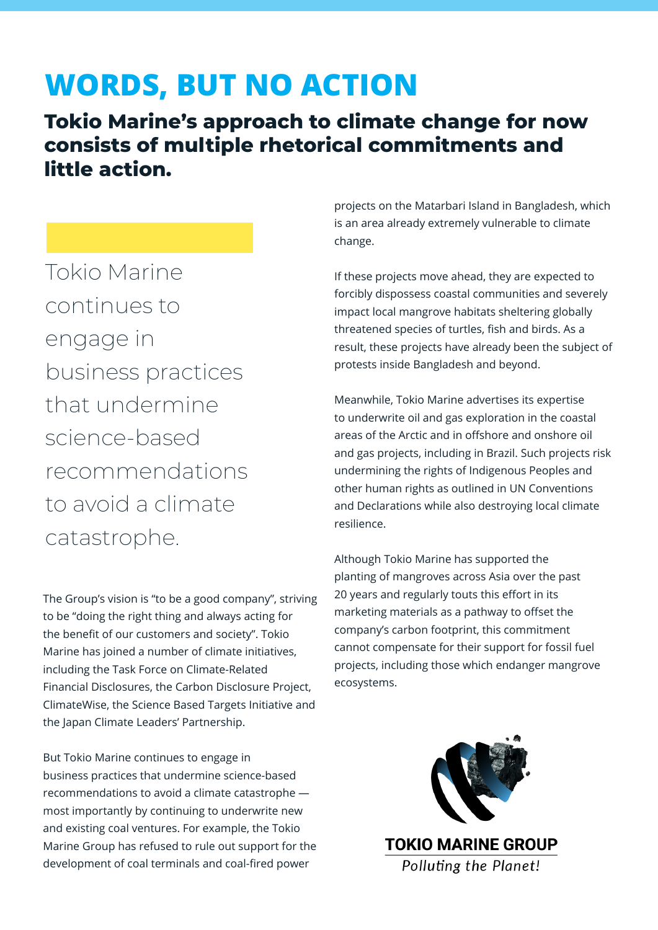### **WORDS, BUT NO ACTION**

**Tokio Marine's approach to climate change for now consists of multiple rhetorical commitments and little action.**

Tokio Marine continues to engage in business practices that undermine science-based recommendations to avoid a climate catastrophe.

The Group's vision is "to be a good company", striving to be "doing the right thing and always acting for the benefit of our customers and society". Tokio Marine has joined a number of climate initiatives, including the Task Force on Climate-Related Financial Disclosures, the Carbon Disclosure Project, ClimateWise, the Science Based Targets Initiative and the Japan Climate Leaders' Partnership.

But Tokio Marine continues to engage in business practices that undermine science-based recommendations to avoid a climate catastrophe most importantly by continuing to underwrite new and existing coal ventures. For example, the Tokio Marine Group has refused to rule out support for the development of coal terminals and coal-fired power

projects on the Matarbari Island in Bangladesh, which is an area already extremely vulnerable to climate change.

If these projects move ahead, they are expected to forcibly dispossess coastal communities and severely impact local mangrove habitats sheltering globally threatened species of turtles, fish and birds. As a result, these projects have already been the subject of protests inside Bangladesh and beyond.

Meanwhile, Tokio Marine advertises its expertise to underwrite oil and gas exploration in the coastal areas of the Arctic and in offshore and onshore oil and gas projects, including in Brazil. Such projects risk undermining the rights of Indigenous Peoples and other human rights as outlined in UN Conventions and Declarations while also destroying local climate resilience.

Although Tokio Marine has supported the planting of mangroves across Asia over the past 20 years and regularly touts this effort in its marketing materials as a pathway to offset the company's carbon footprint, this commitment cannot compensate for their support for fossil fuel projects, including those which endanger mangrove ecosystems.

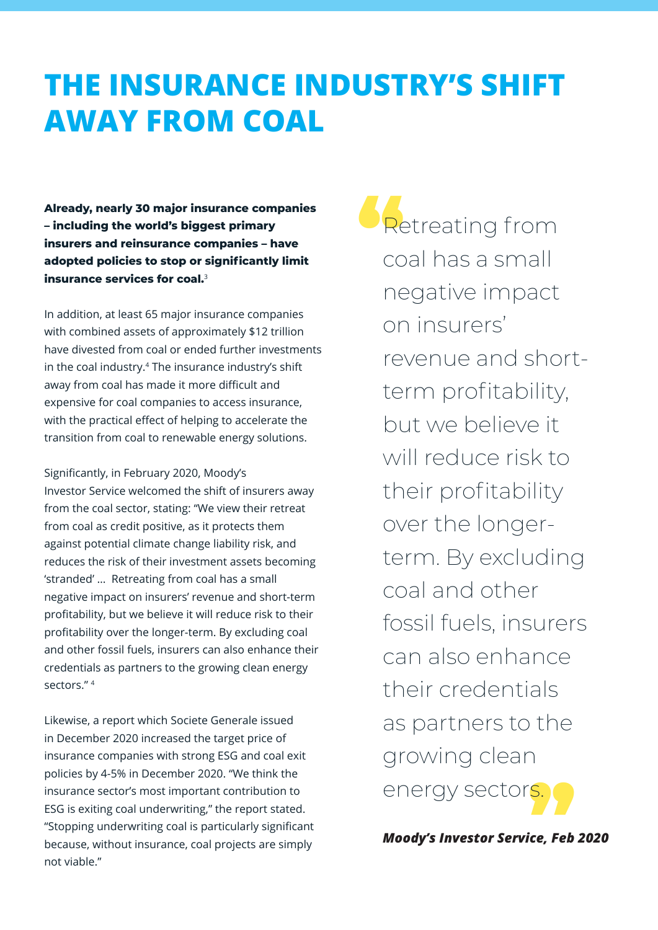## **THE INSURANCE INDUSTRY'S SHIFT AWAY FROM COAL**

**Already, nearly 30 major insurance companies – including the world's biggest primary insurers and reinsurance companies – have adopted policies to stop or significantly limit insurance services for coal.**<sup>3</sup>

In addition, at least 65 major insurance companies with combined assets of approximately \$12 trillion have divested from coal or ended further investments in the coal industry.4 The insurance industry's shift away from coal has made it more difficult and expensive for coal companies to access insurance, with the practical effect of helping to accelerate the transition from coal to renewable energy solutions.

Significantly, in February 2020, Moody's Investor Service welcomed the shift of insurers away from the coal sector, stating: "We view their retreat from coal as credit positive, as it protects them against potential climate change liability risk, and reduces the risk of their investment assets becoming 'stranded' … Retreating from coal has a small negative impact on insurers' revenue and short-term profitability, but we believe it will reduce risk to their profitability over the longer-term. By excluding coal and other fossil fuels, insurers can also enhance their credentials as partners to the growing clean energy sectors<sup>"4</sup>

Likewise, a report which Societe Generale issued in December 2020 increased the target price of insurance companies with strong ESG and coal exit policies by 4-5% in December 2020. "We think the insurance sector's most important contribution to ESG is exiting coal underwriting," the report stated. "Stopping underwriting coal is particularly significant because, without insurance, coal projects are simply not viable."

|<br>S. 9 **Retreating from** coal has a small negative impact on insurers' revenue and shortterm profitability, but we believe it will reduce risk to their profitability over the longerterm. By excluding coal and other fossil fuels, insurers can also enhance their credentials as partners to the growing clean energy sectors.

*Moody's Investor Service, Feb 2020*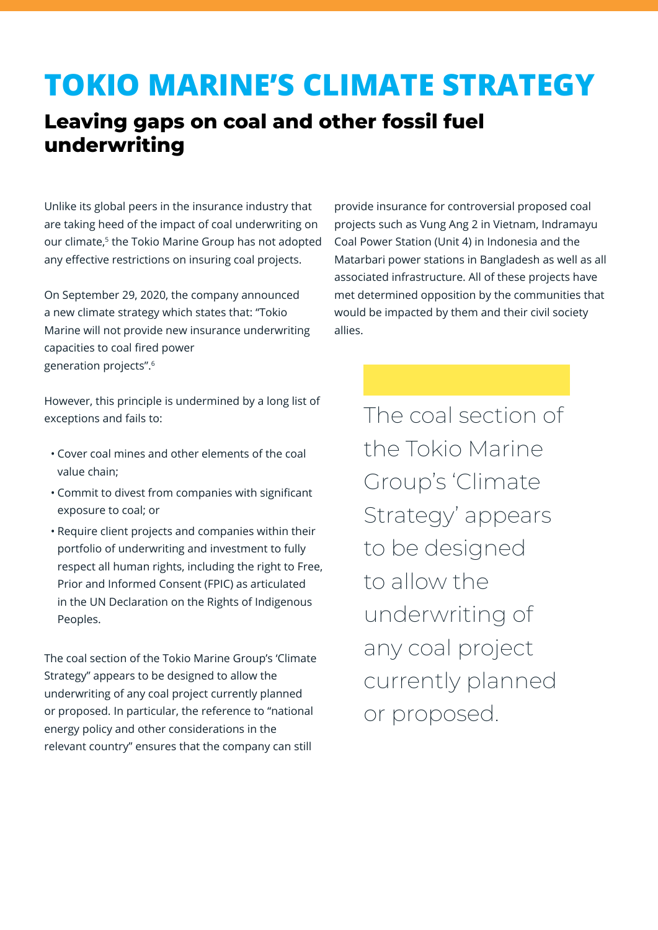### **TOKIO MARINE'S CLIMATE STRATEGY**

#### **Leaving gaps on coal and other fossil fuel underwriting**

Unlike its global peers in the insurance industry that are taking heed of the impact of coal underwriting on our climate,<sup>5</sup> the Tokio Marine Group has not adopted any effective restrictions on insuring coal projects.

On September 29, 2020, the company announced a new climate strategy which states that: "Tokio Marine will not provide new insurance underwriting capacities to coal fired power generation projects".6

provide insurance for controversial proposed coal projects such as Vung Ang 2 in Vietnam, Indramayu Coal Power Station (Unit 4) in Indonesia and the Matarbari power stations in Bangladesh as well as all associated infrastructure. All of these projects have met determined opposition by the communities that would be impacted by them and their civil society allies.

However, this principle is undermined by a long list of exceptions and fails to:

- Cover coal mines and other elements of the coal value chain;
- Commit to divest from companies with significant exposure to coal; or
- Require client projects and companies within their portfolio of underwriting and investment to fully respect all human rights, including the right to Free, Prior and Informed Consent (FPIC) as articulated in the UN Declaration on the Rights of Indigenous Peoples.

The coal section of the Tokio Marine Group's 'Climate Strategy" appears to be designed to allow the underwriting of any coal project currently planned or proposed. In particular, the reference to "national energy policy and other considerations in the relevant country" ensures that the company can still

The coal section of the Tokio Marine Group's 'Climate Strategy' appears to be designed to allow the underwriting of any coal project currently planned or proposed.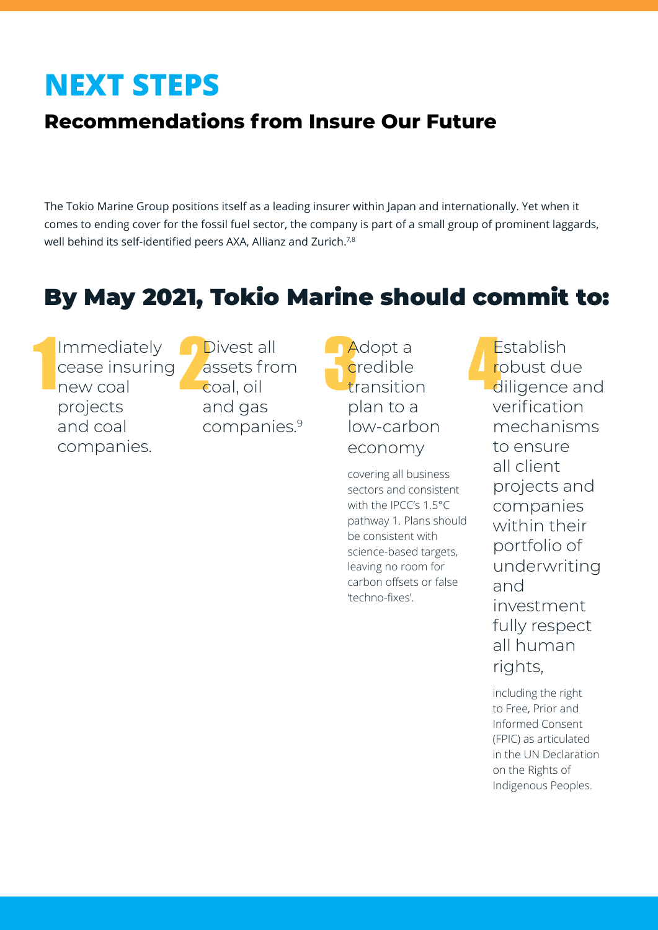## **NEXT STEPS**

### **Recommendations from Insure Our Future**

The Tokio Marine Group positions itself as a leading insurer within Japan and internationally. Yet when it comes to ending cover for the fossil fuel sector, the company is part of a small group of prominent laggards, well behind its self-identified peers AXA, Allianz and Zurich.<sup>7,8</sup>

### By May 2021, Tokio Marine should commit to:

1 Immediately cease insuring new coal projects and coal companies.

a de Divest all<br>assets from<br>coal, oil assets from coal, oil and gas companies.9

Adopt a<br>credible<br>transition credible plan to a low-carbon economy

covering all business sectors and consistent with the IPCC's 1.5°C pathway 1. Plans should be consistent with science-based targets, leaving no room for carbon offsets or false 'techno-fixes'.

Establish robust due diligence and verification mechanisms to ensure all client projects and companies within their portfolio of underwriting and investment fully respect all human rights,

including the right to Free, Prior and Informed Consent (FPIC) as articulated in the UN Declaration on the Rights of Indigenous Peoples.